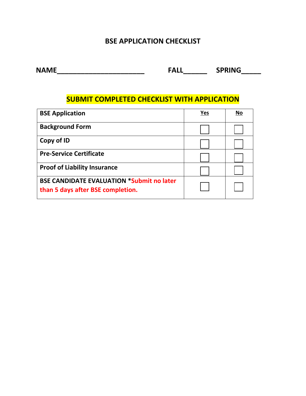### **BSE APPLICATION CHECKLIST**

**NAME\_\_\_\_\_\_\_\_\_\_\_\_\_\_\_\_\_\_\_\_\_\_ FALL\_\_\_\_\_\_ SPRING\_\_\_\_\_**

### **SUBMIT COMPLETED CHECKLIST WITH APPLICATION**

| <b>BSE Application</b>                                                                | Yes | No |
|---------------------------------------------------------------------------------------|-----|----|
| <b>Background Form</b>                                                                |     |    |
| Copy of ID                                                                            |     |    |
| <b>Pre-Service Certificate</b>                                                        |     |    |
| <b>Proof of Liability Insurance</b>                                                   |     |    |
| <b>BSE CANDIDATE EVALUATION *Submit no later</b><br>than 5 days after BSE completion. |     |    |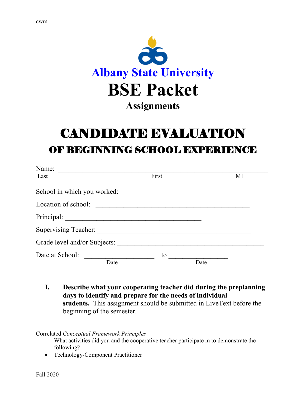

# CANDIDATE EVALUATION OF BEGINNING SCHOOL EXPERIENCE

| Name:                        |       |      |
|------------------------------|-------|------|
| Last                         | First | MI   |
| School in which you worked:  |       |      |
| Location of school:          |       |      |
|                              |       |      |
|                              |       |      |
| Grade level and/or Subjects: |       |      |
| Date at School:              | to    |      |
| Date                         |       | Date |

**I. Describe what your cooperating teacher did during the preplanning days to identify and prepare for the needs of individual students.** This assignment should be submitted in LiveText before the beginning of the semester.

#### Correlated *Conceptual Framework Principles*

What activities did you and the cooperative teacher participate in to demonstrate the following?

• Technology-Component Practitioner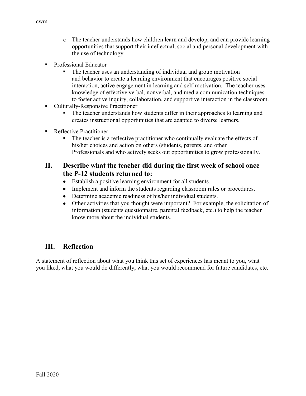- o The teacher understands how children learn and develop, and can provide learning opportunities that support their intellectual, social and personal development with the use of technology.
- Professional Educator
	- The teacher uses an understanding of individual and group motivation and behavior to create a learning environment that encourages positive social interaction, active engagement in learning and self-motivation. The teacher uses knowledge of effective verbal, nonverbal, and media communication techniques to foster active inquiry, collaboration, and supportive interaction in the classroom.
- Culturally-Responsive Practitioner
	- **The teacher understands how students differ in their approaches to learning and** creates instructional opportunities that are adapted to diverse learners.
- Reflective Practitioner
	- The teacher is a reflective practitioner who continually evaluate the effects of his/her choices and action on others (students, parents, and other Professionals and who actively seeks out opportunities to grow professionally.

#### **II. Describe what the teacher did during the first week of school once the P-12 students returned to:**

- Establish a positive learning environment for all students.
- Implement and inform the students regarding classroom rules or procedures.
- Determine academic readiness of his/her individual students.
- Other activities that you thought were important? For example, the solicitation of information (students questionnaire, parental feedback, etc.) to help the teacher know more about the individual students.

#### **III. Reflection**

A statement of reflection about what you think this set of experiences has meant to you, what you liked, what you would do differently, what you would recommend for future candidates, etc.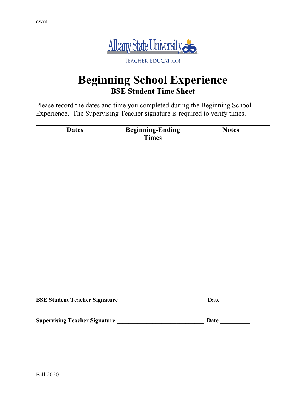

## **Beginning School Experience BSE Student Time Sheet**

Please record the dates and time you completed during the Beginning School Experience. The Supervising Teacher signature is required to verify times.

| <b>Dates</b> | <b>Beginning-Ending</b><br>Times | <b>Notes</b> |  |  |
|--------------|----------------------------------|--------------|--|--|
|              |                                  |              |  |  |
|              |                                  |              |  |  |
|              |                                  |              |  |  |
|              |                                  |              |  |  |
|              |                                  |              |  |  |
|              |                                  |              |  |  |
|              |                                  |              |  |  |
|              |                                  |              |  |  |
|              |                                  |              |  |  |
|              |                                  |              |  |  |

| <b>BSE Student Teacher Signature</b> | Date |  |  |
|--------------------------------------|------|--|--|
|                                      |      |  |  |
| <b>Supervising Teacher Signature</b> | Date |  |  |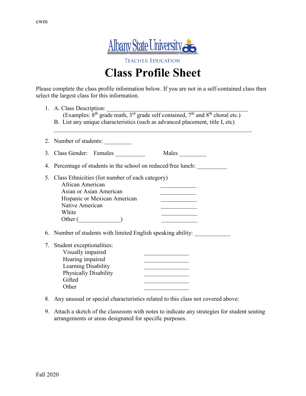

**TEACHER EDUCATION** 

# **Class Profile Sheet**

Please complete the class profile information below. If you are not in a self-contained class then select the largest class for this information.

| 1. A. Class Description:<br>(Examples: 8 <sup>th</sup> grade math, 3 <sup>rd</sup> grade self contained, 7 <sup>th</sup> and 8 <sup>th</sup> choral etc.)<br>B. List any unique characteristics (such as advanced placement, title I, etc) |                                                                                         |  |  |  |
|--------------------------------------------------------------------------------------------------------------------------------------------------------------------------------------------------------------------------------------------|-----------------------------------------------------------------------------------------|--|--|--|
| 2. Number of students:                                                                                                                                                                                                                     |                                                                                         |  |  |  |
| 3. Class Gender: Females                                                                                                                                                                                                                   | Males $\frac{1}{\sqrt{1-\frac{1}{2}}\cdot\frac{1}{\sqrt{1-\frac{1}{2}}}}$               |  |  |  |
| 4. Percentage of students in the school on reduced/free lunch:                                                                                                                                                                             |                                                                                         |  |  |  |
| Class Ethnicities (list number of each category)<br>5.<br>African American<br>Asian or Asian American<br>Hispanic or Mexican American<br>Native American<br>White<br>Other ()                                                              |                                                                                         |  |  |  |
| 6. Number of students with limited English speaking ability:                                                                                                                                                                               |                                                                                         |  |  |  |
| 7. Student exceptionalities:<br>Visually impaired<br>Hearing impaired<br>Learning Disability<br><b>Physically Disability</b><br>Gifted<br>Other                                                                                            | the control of the control of the control of<br><u> 1990 - Johann Barbara, martin a</u> |  |  |  |

- 8. Any unusual or special characteristics related to this class not covered above:
- 9. Attach a sketch of the classroom with notes to indicate any strategies for student seating arrangements or areas designated for specific purposes.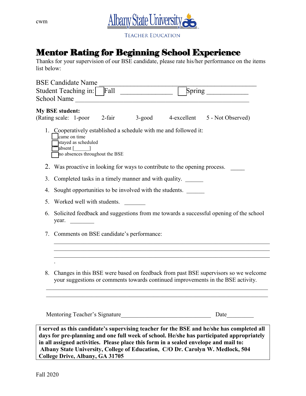

**TEACHER EDUCATION** 

## Mentor Rating for Beginning School Experience

Thanks for your supervision of our BSE candidate, please rate his/her performance on the items list below:

|    |                                                        | <b>BSE Candidate Name</b>                                                            |                                                           |              |                                                                            |                                                                                                                                                                        |  |
|----|--------------------------------------------------------|--------------------------------------------------------------------------------------|-----------------------------------------------------------|--------------|----------------------------------------------------------------------------|------------------------------------------------------------------------------------------------------------------------------------------------------------------------|--|
|    |                                                        | Student Teaching in:                                                                 | Fall                                                      |              | Spring                                                                     |                                                                                                                                                                        |  |
|    |                                                        | School Name                                                                          |                                                           |              |                                                                            |                                                                                                                                                                        |  |
|    | <b>My BSE student:</b>                                 | (Rating scale: 1-poor                                                                | 2-fair                                                    | $3$ -good    |                                                                            | 4-excellent 5 - Not Observed)                                                                                                                                          |  |
|    |                                                        | came on time<br>stayed as scheduled<br>$\begin{bmatrix} \text{absent} \end{bmatrix}$ | no absences throughout the BSE                            |              | 1. Cooperatively established a schedule with me and followed it:           |                                                                                                                                                                        |  |
|    |                                                        |                                                                                      |                                                           |              | 2. Was proactive in looking for ways to contribute to the opening process. |                                                                                                                                                                        |  |
| 3. |                                                        |                                                                                      |                                                           |              | Completed tasks in a timely manner and with quality.                       |                                                                                                                                                                        |  |
| 4. | Sought opportunities to be involved with the students. |                                                                                      |                                                           |              |                                                                            |                                                                                                                                                                        |  |
| 5. | Worked well with students.                             |                                                                                      |                                                           |              |                                                                            |                                                                                                                                                                        |  |
| 6. | year.                                                  |                                                                                      |                                                           |              |                                                                            | Solicited feedback and suggestions from me towards a successful opening of the school                                                                                  |  |
|    | 7. Comments on BSE candidate's performance:            |                                                                                      |                                                           |              |                                                                            |                                                                                                                                                                        |  |
|    |                                                        |                                                                                      |                                                           |              |                                                                            |                                                                                                                                                                        |  |
| 8. |                                                        |                                                                                      |                                                           |              |                                                                            | Changes in this BSE were based on feedback from past BSE supervisors so we welcome<br>your suggestions or comments towards continued improvements in the BSE activity. |  |
|    |                                                        |                                                                                      | $\mathbf{v}$ , $\mathbf{v}$ , $\mathbf{v}$ , $\mathbf{v}$ | $\mathbf{r}$ | Mentoring Teacher's Signature                                              | Date<br>$\mathbf{r}$ , $\mathbf{r}$ , $\mathbf{r}$<br>$\mathbf{u}$ and $\mathbf{u}$ and $\mathbf{u}$                                                                   |  |

**I served as this candidate's supervising teacher for the BSE and he/she has completed all days for pre-planning and one full week of school. He/she has participated appropriately in all assigned activities. Please place this form in a sealed envelope and mail to: Albany State University, College of Education, C/O Dr. Carolyn W. Medlock, 504 College Drive, Albany, GA 31705**